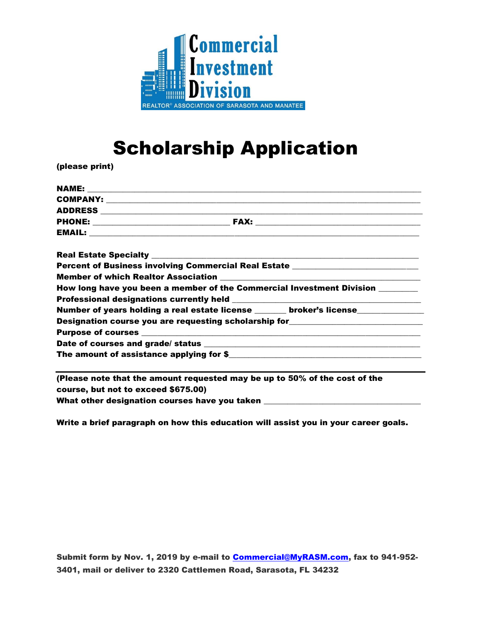

## Scholarship Application

(please print)

|                                                                                                                   | Percent of Business involving Commercial Real Estate ___________________________ |
|-------------------------------------------------------------------------------------------------------------------|----------------------------------------------------------------------------------|
|                                                                                                                   |                                                                                  |
|                                                                                                                   | How long have you been a member of the Commercial Investment Division _______    |
|                                                                                                                   |                                                                                  |
|                                                                                                                   | Number of years holding a real estate license _______ broker's license__________ |
|                                                                                                                   | Designation course you are requesting scholarship for___________________________ |
|                                                                                                                   |                                                                                  |
|                                                                                                                   |                                                                                  |
|                                                                                                                   |                                                                                  |
| (Please note that the amount requested may be up to 50% of the cost of the<br>course, but not to exceed \$675.00) |                                                                                  |

Write a brief paragraph on how this education will assist you in your career goals.

What other designation courses have you taken